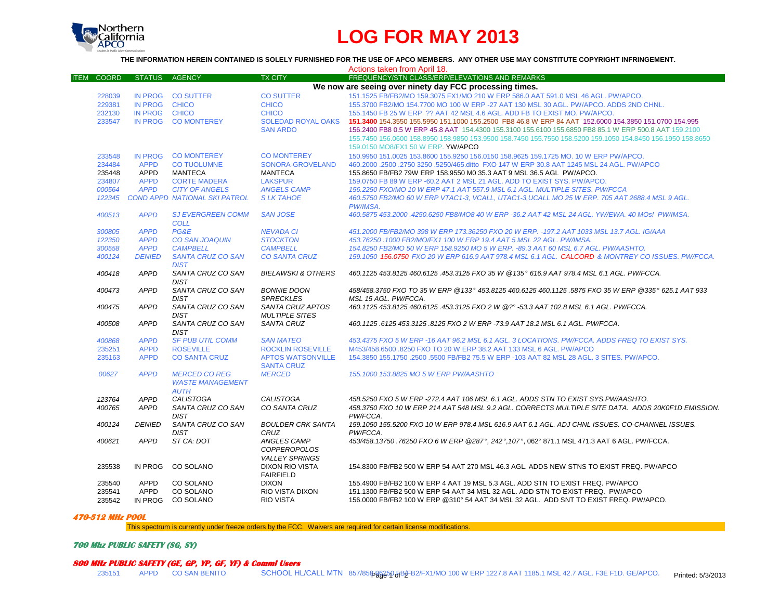

# **LOG FOR MAY 2013**

### **THE INFORMATION HEREIN CONTAINED IS SOLELY FURNISHED FOR THE USE OF APCO MEMBERS. ANY OTHER USE MAY CONSTITUTE COPYRIGHT INFRINGEMENT.**

|                                                         |                |                                      |                               | Actions taken from April 18.                                                                                |
|---------------------------------------------------------|----------------|--------------------------------------|-------------------------------|-------------------------------------------------------------------------------------------------------------|
| <b>ITEM COORD</b>                                       | <b>STATUS</b>  | <b>AGENCY</b>                        | <b>TX CITY</b>                | FREQUENCY/STN CLASS/ERP/ELEVATIONS AND REMARKS                                                              |
| We now are seeing over ninety day FCC processing times. |                |                                      |                               |                                                                                                             |
| 228039                                                  |                | IN PROG CO SUTTER                    | <b>CO SUTTER</b>              | 151.1525 FB/FB2/MO 159.3075 FX1/MO 210 W ERP 586.0 AAT 591.0 MSL 46 AGL. PW/APCO.                           |
| 229381                                                  | IN PROG CHICO  |                                      | <b>CHICO</b>                  | 155.3700 FB2/MO 154.7700 MO 100 W ERP -27 AAT 130 MSL 30 AGL, PW/APCO, ADDS 2ND CHNL.                       |
| 232130                                                  | <b>IN PROG</b> | <b>CHICO</b>                         | <b>CHICO</b>                  | 155.1450 FB 25 W ERP ?? AAT 42 MSL 4.6 AGL, ADD FB TO EXIST MO, PW/APCO.                                    |
|                                                         |                |                                      | <b>SOLEDAD ROYAL OAKS</b>     |                                                                                                             |
| 233547                                                  |                | IN PROG CO MONTEREY                  |                               | 151.3400 154.3550 155.5950 151.1000 155.2500 FB8 46.8 W ERP 84 AAT 152.6000 154.3850 151.0700 154.995       |
|                                                         |                |                                      | <b>SAN ARDO</b>               | 156.2400 FB8 0.5 W ERP 45.8 AAT 154.4300 155.3100 155.6100 155.6850 FB8 85.1 W ERP 500.8 AAT 159.2100       |
|                                                         |                |                                      |                               | 155.7450 156.0600 158.8950 158.9850 153.9500 158.7450 155.7550 158.5200 159.1050 154.8450 156.1950 158.8650 |
|                                                         |                |                                      |                               | 159.0150 MO8/FX1 50 W ERP. YW/APCO                                                                          |
| 233548                                                  | <b>IN PROG</b> | <b>CO MONTEREY</b>                   | <b>CO MONTEREY</b>            | 150.9950 151.0025 153.8600 155.9250 156.0150 158.9625 159.1725 MO, 10 W ERP PW/APCO,                        |
| 234484                                                  | <b>APPD</b>    | <b>CO TUOLUMNE</b>                   | SONORA-GROVELAND              | 460.2000 .2500 .2750 3250 .5250/465.ditto FXO 147 W ERP 30.8 AAT 1245 MSL 24 AGL. PW/APCO                   |
| 235448                                                  | <b>APPD</b>    | MANTECA                              | <b>MANTECA</b>                | 155.8650 FB/FB2 79W ERP 158.9550 M0 35.3 AAT 9 MSL 36.5 AGL PW/APCO.                                        |
| 234807                                                  | <b>APPD</b>    | <b>CORTE MADERA</b>                  | <b>LAKSPUR</b>                | 159,0750 FB 89 W ERP -60.2 AAT 2 MSL 21 AGL, ADD TO EXIST SYS, PW/APCO.                                     |
| 000564                                                  | <b>APPD</b>    | <b>CITY OF ANGELS</b>                | <b>ANGELS CAMP</b>            | 156.2250 FXO/MO 10 W ERP 47.1 AAT 557.9 MSL 6.1 AGL. MULTIPLE SITES. PW/FCCA                                |
| 122345                                                  |                | <b>COND APPD NATIONAL SKI PATROL</b> | <b>SLKTAHOE</b>               | 460.5750 FB2/MO 60 W ERP VTAC1-3, VCALL, UTAC1-3, UCALL MO 25 W ERP. 705 AAT 2688.4 MSL 9 AGL.              |
|                                                         |                |                                      |                               | PW/IMSA.                                                                                                    |
| 400513                                                  | <b>APPD</b>    | <b>SJ EVERGREEN COMM</b>             | <b>SAN JOSE</b>               | 460.5875 453.2000 .4250.6250 FB8/MO8 40 W ERP -36.2 AAT 42 MSL 24 AGL. YW/EWA. 40 MOs! PW/IMSA.             |
|                                                         |                | <b>COLL</b>                          |                               |                                                                                                             |
| 300805                                                  | <b>APPD</b>    | PG&E                                 | <b>NEVADA CI</b>              | 451.2000 FB/FB2/MO 398 W ERP 173.36250 FXO 20 W ERP. -197.2 AAT 1033 MSL 13.7 AGL. IG/AAA                   |
| 122350                                                  | <b>APPD</b>    | <b>CO SAN JOAQUIN</b>                | <b>STOCKTON</b>               | 453.76250 .1000 FB2/MO/FX1 100 W ERP 19.4 AAT 5 MSL 22 AGL. PW/IMSA.                                        |
| 300558                                                  | <b>APPD</b>    | <b>CAMPBELL</b>                      | <b>CAMPBELL</b>               | 154.8250 FB2/MO 50 W ERP 158.9250 MO 5 W ERP. -89.3 AAT 60 MSL 6.7 AGL. PW/AASHTO.                          |
| 400124                                                  | <b>DENIED</b>  | <b>SANTA CRUZ CO SAN</b>             | <b>CO SANTA CRUZ</b>          | 159.1050 156.0750 FXO 20 W ERP 616.9 AAT 978.4 MSL 6.1 AGL. CALCORD & MONTREY CO ISSUES. PW/FCCA.           |
|                                                         |                | <b>DIST</b>                          |                               |                                                                                                             |
| 400418                                                  | <b>APPD</b>    | SANTA CRUZ CO SAN<br><b>DIST</b>     | <b>BIELAWSKI &amp; OTHERS</b> | 460.1125 453.8125 460.6125 .453.3125 FXO 35 W @135° 616.9 AAT 978.4 MSL 6.1 AGL. PW/FCCA.                   |
| 400473                                                  | <b>APPD</b>    | SANTA CRUZ CO SAN                    | <b>BONNIE DOON</b>            | 458/458.3750 FXO TO 35 W ERP @133° 453.8125 460.6125 460.1125 .5875 FXO 35 W ERP @335° 625.1 AAT 933        |
|                                                         |                | <b>DIST</b>                          | <b>SPRECKLES</b>              | MSL 15 AGL. PW/FCCA.                                                                                        |
| 400475                                                  | <b>APPD</b>    | SANTA CRUZ CO SAN                    | SANTA CRUZ APTOS              | 460.1125 453.8125 460.6125 .453.3125 FXO 2 W @? -53.3 AAT 102.8 MSL 6.1 AGL, PW/FCCA,                       |
|                                                         |                | <b>DIST</b>                          | <b>MULTIPLE SITES</b>         |                                                                                                             |
| 400508                                                  | <b>APPD</b>    | SANTA CRUZ CO SAN                    | <b>SANTA CRUZ</b>             | 460.1125.6125 453.3125.8125 FXO 2 W ERP -73.9 AAT 18.2 MSL 6.1 AGL. PW/FCCA.                                |
|                                                         |                | <b>DIST</b>                          |                               |                                                                                                             |
| 400868                                                  | <b>APPD</b>    | <b>SF PUB UTIL COMM</b>              | <b>SAN MATEO</b>              | 453.4375 FXO 5 W ERP -16 AAT 96.2 MSL 6.1 AGL, 3 LOCATIONS, PW/FCCA, ADDS FREQ TO EXIST SYS.                |
| 235251                                                  | <b>APPD</b>    | <b>ROSEVILLE</b>                     | <b>ROCKLIN ROSEVILLE</b>      | M453/458.6500 .8250 FXO TO 20 W ERP 38.2 AAT 133 MSL 6 AGL, PW/APCO                                         |
| 235163                                                  | <b>APPD</b>    | <b>CO SANTA CRUZ</b>                 | <b>APTOS WATSONVILLE</b>      | 154.3850 155.1750 .2500 .5500 FB/FB2 75.5 W ERP -103 AAT 82 MSL 28 AGL, 3 SITES, PW/APCO,                   |
|                                                         |                |                                      | <b>SANTA CRUZ</b>             |                                                                                                             |
| 00627                                                   | <b>APPD</b>    | <b>MERCED CO REG</b>                 | <b>MERCED</b>                 | 155.1000 153.8825 MO 5 W ERP PW/AASHTO                                                                      |
|                                                         |                | <b>WASTE MANAGEMENT</b>              |                               |                                                                                                             |
|                                                         |                | <b>AUTH</b>                          |                               |                                                                                                             |
|                                                         |                | <b>CALISTOGA</b>                     | <b>CALISTOGA</b>              |                                                                                                             |
| 123764                                                  | <b>APPD</b>    |                                      |                               | 458.5250 FXO 5 W ERP -272.4 AAT 106 MSL 6.1 AGL. ADDS STN TO EXIST SYS.PW/AASHTO.                           |
| 400765                                                  | <b>APPD</b>    | SANTA CRUZ CO SAN                    | CO SANTA CRUZ                 | 458.3750 FXO 10 W ERP 214 AAT 548 MSL 9.2 AGL. CORRECTS MULTIPLE SITE DATA. ADDS 20K0F1D EMISSION.          |
|                                                         |                | <b>DIST</b>                          |                               | PW/FCCA.                                                                                                    |
| 400124                                                  | <b>DENIED</b>  | SANTA CRUZ CO SAN                    | <b>BOULDER CRK SANTA</b>      | 159.1050 155.5200 FXO 10 W ERP 978.4 MSL 616.9 AAT 6.1 AGL. ADJ CHNL ISSUES. CO-CHANNEL ISSUES.             |
|                                                         |                | <b>DIST</b>                          | <b>CRUZ</b>                   | PW/FCCA.                                                                                                    |
| 400621                                                  | <b>APPD</b>    | ST CA: DOT                           | <b>ANGLES CAMP</b>            | 453/458.13750 .76250 FXO 6 W ERP @287°, 242°, 107°, 062° 871.1 MSL 471.3 AAT 6 AGL. PW/FCCA.                |
|                                                         |                |                                      | <b>COPPEROPOLOS</b>           |                                                                                                             |
|                                                         |                |                                      | <b>VALLEY SPRINGS</b>         |                                                                                                             |
| 235538                                                  | IN PROG        | CO SOLANO                            | <b>DIXON RIO VISTA</b>        | 154.8300 FB/FB2 500 W ERP 54 AAT 270 MSL 46.3 AGL. ADDS NEW STNS TO EXIST FREQ. PW/APCO                     |
|                                                         |                |                                      | <b>FAIRFIELD</b>              |                                                                                                             |
| 235540                                                  | <b>APPD</b>    | CO SOLANO                            | <b>DIXON</b>                  | 155.4900 FB/FB2 100 W ERP 4 AAT 19 MSL 5.3 AGL. ADD STN TO EXIST FREQ. PW/APCO                              |
| 235541                                                  | APPD           | CO SOLANO                            | RIO VISTA DIXON               | 151.1300 FB/FB2 500 W ERP 54 AAT 34 MSL 32 AGL. ADD STN TO EXIST FREQ. PW/APCO                              |
| 235542                                                  |                | IN PROG CO SOLANO                    | <b>RIO VISTA</b>              | 156.0000 FB/FB2 100 W ERP @310° 54 AAT 34 MSL 32 AGL. ADD SNT TO EXIST FREQ. PW/APCO.                       |
|                                                         |                |                                      |                               |                                                                                                             |

#### **470-512 MHz POOL**

This spectrum is currently under freeze orders by the FCC. Waivers are required for certain license modifications.

#### **700 Mhz PUBLIC SAFETY (SG, SY)**

## **800 MHz PUBLIC SAFETY (GE, GP, YP, GF, YF) & Comml Users**